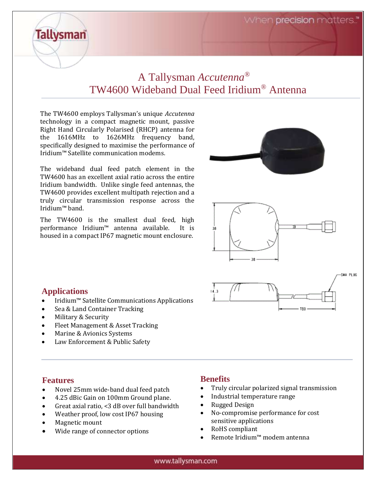When **precision** matters."

# A Tallysman *Accutenna®* TW4600 Wideband Dual Feed Iridium® Antenna

The TW4600 employs Tallysman's unique *Accutenna* technology in a compact magnetic mount, passive Right Hand Circularly Polarised (RHCP) antenna for the 1616MHz to 1626MHz frequency band, specifically designed to maximise the performance of Iridium™ Satellite communication modems.

The wideband dual feed patch element in the TW4600 has an excellent axial ratio across the entire Iridium bandwidth. Unlike single feed antennas, the TW4600 provides excellent multipath rejection and a truly circular transmission response across the Iridium™ band.

The TW4600 is the smallest dual feed, high performance Iridium™ antenna available. It is housed in a compact IP67 magnetic mount enclosure.



#### **Applications**

**Tallysman** 

- Iridium™ Satellite Communications Applications
- Sea & Land Container Tracking
- Military & Security
- Fleet Management & Asset Tracking
- Marine & Avionics Systems
- Law Enforcement & Public Safety

#### **Features**

- Novel 25mm wide-band dual feed patch
- 4.25 dBic Gain on 100mm Ground plane.
- Great axial ratio, <3 dB over full bandwidth
- Weather proof, low cost IP67 housing
- Magnetic mount
- Wide range of connector options

## **Benefits**

- Truly circular polarized signal transmission
- Industrial temperature range
- Rugged Design
- No-compromise performance for cost sensitive applications
- RoHS compliant
- Remote Iridium™ modem antenna